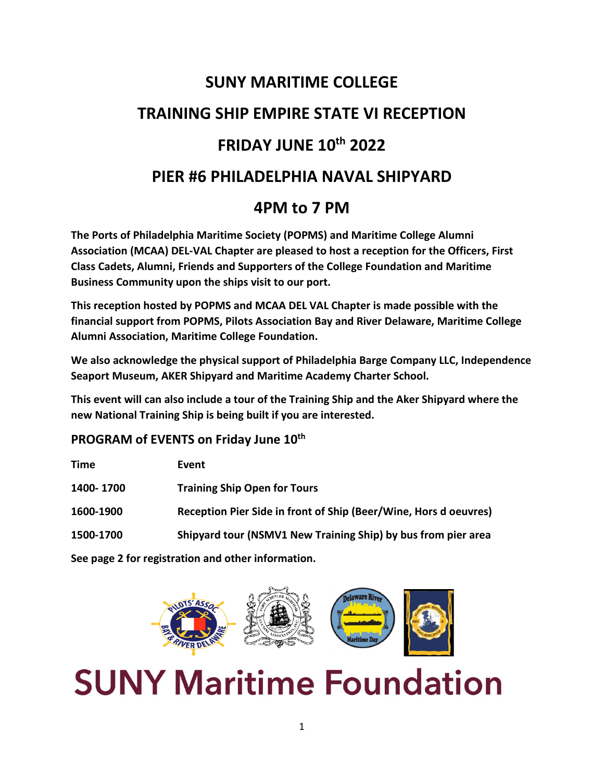# **SUNY MARITIME COLLEGE TRAINING SHIP EMPIRE STATE VI RECEPTION FRIDAY JUNE 10th 2022 PIER #6 PHILADELPHIA NAVAL SHIPYARD 4PM to 7 PM**

**The Ports of Philadelphia Maritime Society (POPMS) and Maritime College Alumni Association (MCAA) DEL-VAL Chapter are pleased to host a reception for the Officers, First Class Cadets, Alumni, Friends and Supporters of the College Foundation and Maritime Business Community upon the ships visit to our port.**

**This reception hosted by POPMS and MCAA DEL VAL Chapter is made possible with the financial support from POPMS, Pilots Association Bay and River Delaware, Maritime College Alumni Association, Maritime College Foundation.**

**We also acknowledge the physical support of Philadelphia Barge Company LLC, Independence Seaport Museum, AKER Shipyard and Maritime Academy Charter School.**

**This event will can also include a tour of the Training Ship and the Aker Shipyard where the new National Training Ship is being built if you are interested.**

#### **PROGRAM of EVENTS on Friday June 10th**

| <b>Time</b>                                        | Event                                                            |
|----------------------------------------------------|------------------------------------------------------------------|
| 1400-1700                                          | <b>Training Ship Open for Tours</b>                              |
| 1600-1900                                          | Reception Pier Side in front of Ship (Beer/Wine, Hors d oeuvres) |
| 1500-1700                                          | Shipyard tour (NSMV1 New Training Ship) by bus from pier area    |
| See page 2 for registration and other information. |                                                                  |

# **SUNY Maritime Foundation**